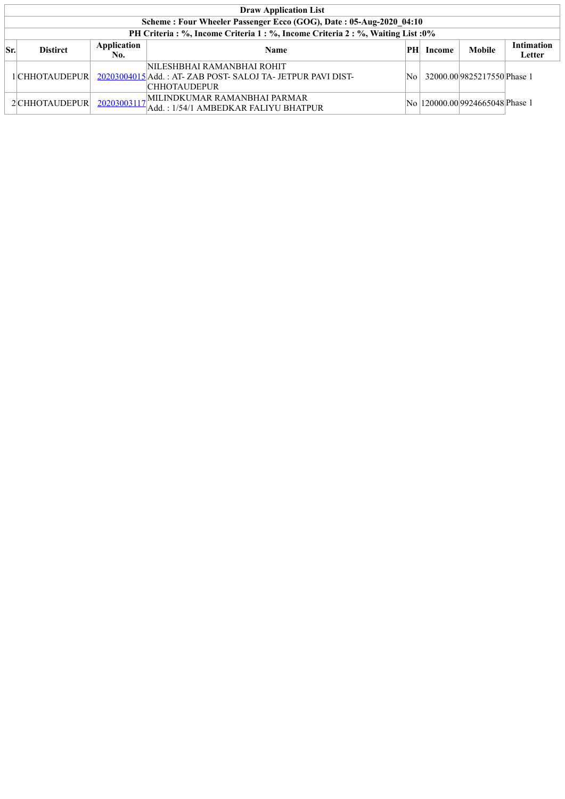|          | <b>Draw Application List</b>                                       |                    |                                                                                                         |      |        |                                  |                                    |  |  |  |  |
|----------|--------------------------------------------------------------------|--------------------|---------------------------------------------------------------------------------------------------------|------|--------|----------------------------------|------------------------------------|--|--|--|--|
|          | Scheme: Four Wheeler Passenger Ecco (GOG), Date: 05-Aug-2020 04:10 |                    |                                                                                                         |      |        |                                  |                                    |  |  |  |  |
|          |                                                                    |                    | PH Criteria: %, Income Criteria 1: %, Income Criteria 2: %, Waiting List: 0%                            |      |        |                                  |                                    |  |  |  |  |
| $ S_{r}$ | <b>Distirct</b>                                                    | Application<br>No. | <b>Name</b>                                                                                             | PH   | Income | <b>Mobile</b>                    | <b>Intimation</b><br><b>Letter</b> |  |  |  |  |
|          | 1 CHHOTAUDEPUR                                                     |                    | NILESHBHAI RAMANBHAI ROHIT<br>20203004015 Add.: AT-ZAB POST-SALOJ TA-JETPUR PAVI DIST-<br> CHHOTAUDEPUR | No l |        | 32000.00 9825217550 Phase 1      |                                    |  |  |  |  |
|          | 2 CHHOTAUDEPUR                                                     |                    | 20203003117 MILINDKUMAR RAMANBHAI PARMAR<br>Add.: 1/54/1 AMBEDKAR FALIYU BHATPUR                        |      |        | No  120000.00 9924665048 Phase 1 |                                    |  |  |  |  |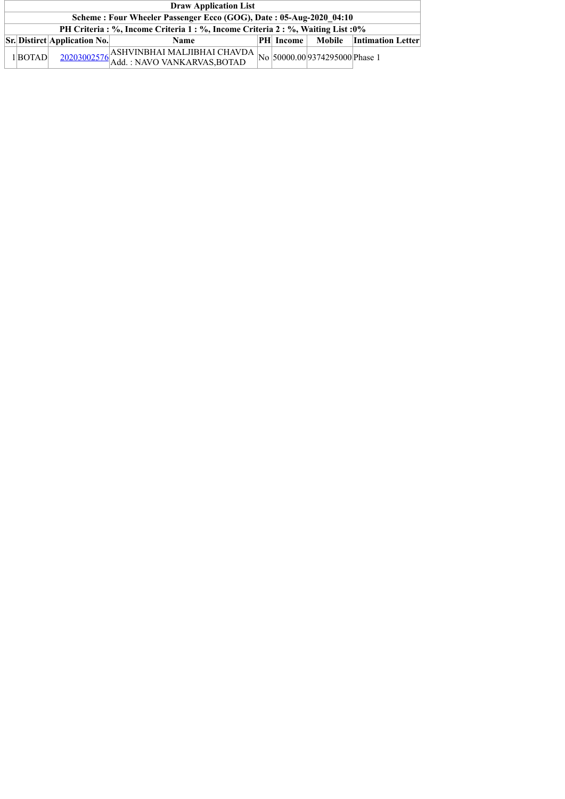| <b>Draw Application List</b>                                                     |                                                     |                                                                                                   |  |                  |  |                          |  |  |  |  |
|----------------------------------------------------------------------------------|-----------------------------------------------------|---------------------------------------------------------------------------------------------------|--|------------------|--|--------------------------|--|--|--|--|
| Scheme: Four Wheeler Passenger Ecco (GOG), Date: 05-Aug-2020 04:10               |                                                     |                                                                                                   |  |                  |  |                          |  |  |  |  |
| PH Criteria : %, Income Criteria 1 : %, Income Criteria 2 : %, Waiting List : 0% |                                                     |                                                                                                   |  |                  |  |                          |  |  |  |  |
|                                                                                  | $\left \mathbf{Sr}\right $ Distirct Application No. | <b>Name</b>                                                                                       |  | <b>PH</b> Income |  | Mobile Intimation Letter |  |  |  |  |
| $1 $ <b>BOTAD</b>                                                                |                                                     | $\frac{20203002576}{\text{Add: NAVO VANKARVAS, BOTAD}} \text{No} \times 374295000 \text{Phase 1}$ |  |                  |  |                          |  |  |  |  |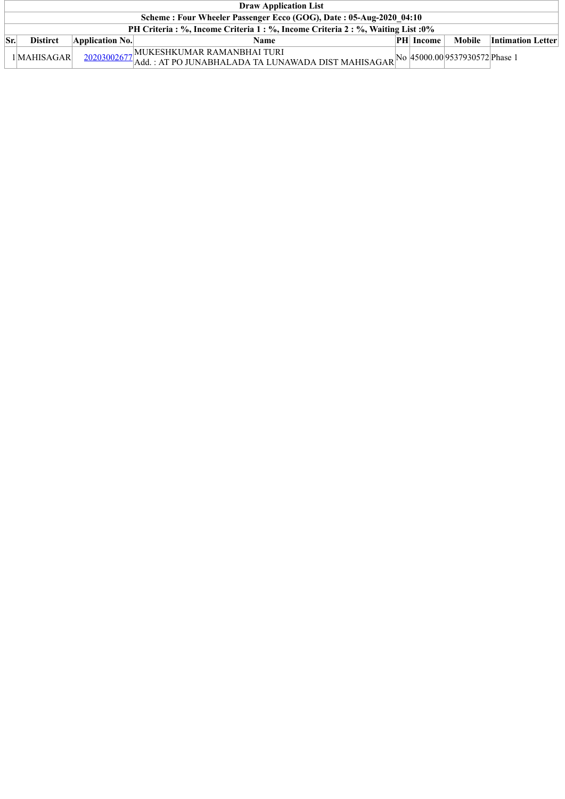|           | <b>Draw Application List</b>                                                     |                         |                                                                                        |  |                  |                                |                          |  |  |  |  |  |
|-----------|----------------------------------------------------------------------------------|-------------------------|----------------------------------------------------------------------------------------|--|------------------|--------------------------------|--------------------------|--|--|--|--|--|
|           | Scheme: Four Wheeler Passenger Ecco (GOG), Date: 05-Aug-2020 04:10               |                         |                                                                                        |  |                  |                                |                          |  |  |  |  |  |
|           | PH Criteria : %, Income Criteria 1 : %, Income Criteria 2 : %, Waiting List : 0% |                         |                                                                                        |  |                  |                                |                          |  |  |  |  |  |
| $\rm Sr.$ | <b>Distirct</b>                                                                  | $\Delta$ pplication No. | <b>Name</b>                                                                            |  | <b>PH</b> Income | Mobile                         | <b>Intimation Letter</b> |  |  |  |  |  |
|           | $1$ MAHISAGAR                                                                    |                         | $\frac{20203002677}{\text{Add.}: \text{AT PO JUNABHALADA TA LUNAWADA DIST MAHISAGAR}}$ |  |                  | No 45000.00 9537930572 Phase 1 |                          |  |  |  |  |  |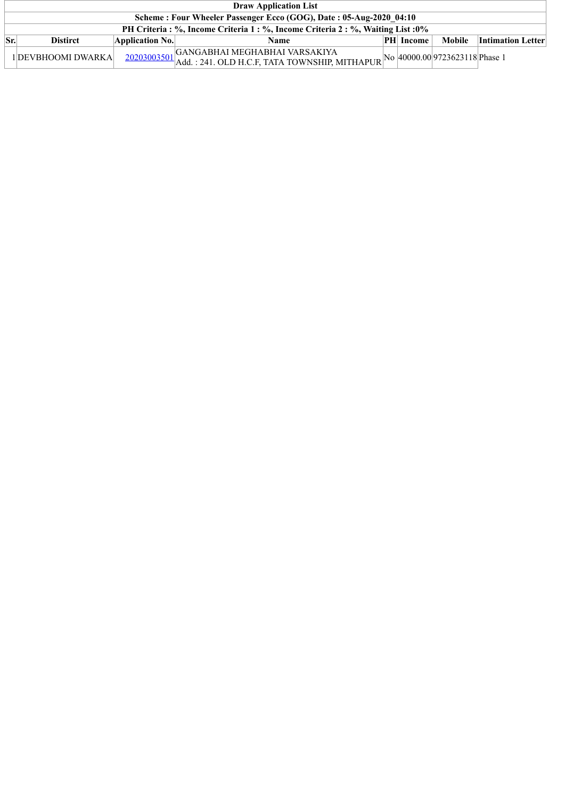|             | <b>Draw Application List</b>                                                     |                 |                                                                                                                               |  |                  |                                |                          |  |  |  |  |
|-------------|----------------------------------------------------------------------------------|-----------------|-------------------------------------------------------------------------------------------------------------------------------|--|------------------|--------------------------------|--------------------------|--|--|--|--|
|             | Scheme: Four Wheeler Passenger Ecco (GOG), Date: 05-Aug-2020 04:10               |                 |                                                                                                                               |  |                  |                                |                          |  |  |  |  |
|             | PH Criteria : %, Income Criteria 1 : %, Income Criteria 2 : %, Waiting List : 0% |                 |                                                                                                                               |  |                  |                                |                          |  |  |  |  |
| $\vert$ Sr. | <b>Distirct</b>                                                                  | Application No. | Name                                                                                                                          |  | <b>PH</b> Income | Mobile                         | <b>Intimation Letter</b> |  |  |  |  |
|             | 1 DEVBHOOMI DWARKA                                                               |                 | GANGABHAI MEGHABHAI VARSAKIYA<br>$+ \frac{20203003501}{\text{Add.}:241. \text{OLD H.C.F, TATA TOWNSHIP, MITHAPUR}}^{IVV1111}$ |  |                  | No 40000.00 9723623118 Phase 1 |                          |  |  |  |  |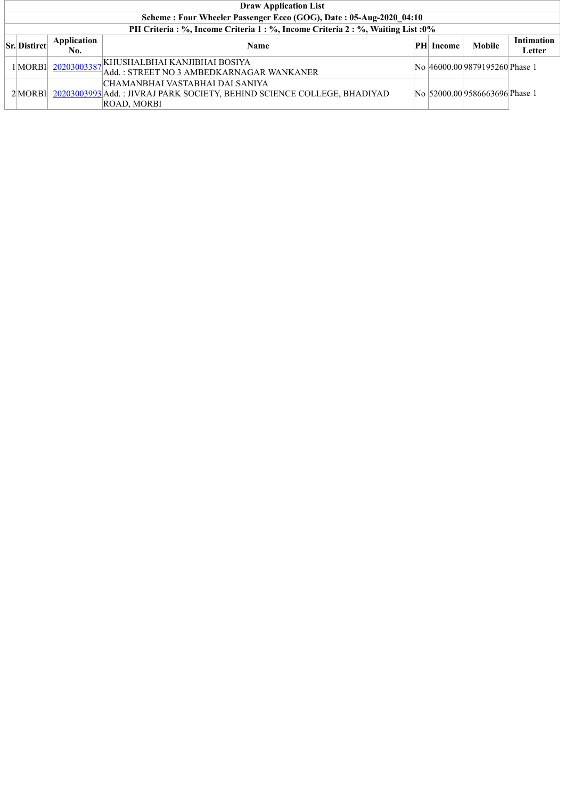| <b>Draw Application List</b>                                       |                    |                                                                                                                                  |    |        |                               |                             |  |  |  |  |  |  |
|--------------------------------------------------------------------|--------------------|----------------------------------------------------------------------------------------------------------------------------------|----|--------|-------------------------------|-----------------------------|--|--|--|--|--|--|
| Scheme: Four Wheeler Passenger Ecco (GOG), Date: 05-Aug-2020 04:10 |                    |                                                                                                                                  |    |        |                               |                             |  |  |  |  |  |  |
|                                                                    |                    | PH Criteria : %, Income Criteria 1 : %, Income Criteria 2 : %, Waiting List : 0%                                                 |    |        |                               |                             |  |  |  |  |  |  |
| <b>Sr.</b> Distirct                                                | Application<br>No. | <b>Name</b>                                                                                                                      | PH | Income | Mobile                        | <b>Intimation</b><br>Letter |  |  |  |  |  |  |
| 1 MORBI                                                            |                    | 20203003387 KHUSHAL BHAI KANJIBHAI BOSIYA<br>Add.: STREET NO 3 AMBEDKARNAGAR WANKANER                                            |    |        | No 46000.009879195260 Phase 1 |                             |  |  |  |  |  |  |
| $2$ MORBI                                                          |                    | CHAMANBHAI VASTABHAI DALSANIYA <br>20203003993 Add.: JIVRAJ PARK SOCIETY, BEHIND SCIENCE COLLEGE, BHADIYAD<br><b>ROAD, MORBI</b> |    |        | No 52000.009586663696 Phase 1 |                             |  |  |  |  |  |  |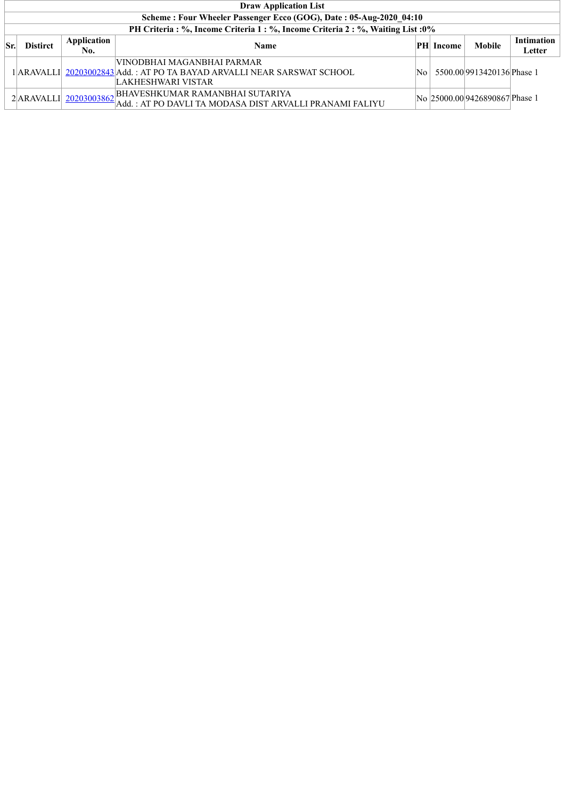|     | <b>Draw Application List</b>                                                     |                    |                                                                                                                                 |    |                  |                                |                             |  |  |  |  |  |  |
|-----|----------------------------------------------------------------------------------|--------------------|---------------------------------------------------------------------------------------------------------------------------------|----|------------------|--------------------------------|-----------------------------|--|--|--|--|--|--|
|     | Scheme: Four Wheeler Passenger Ecco (GOG), Date: 05-Aug-2020 04:10               |                    |                                                                                                                                 |    |                  |                                |                             |  |  |  |  |  |  |
|     | PH Criteria : %, Income Criteria 1 : %, Income Criteria 2 : %, Waiting List : 0% |                    |                                                                                                                                 |    |                  |                                |                             |  |  |  |  |  |  |
| Sr. | <b>Distirct</b>                                                                  | Application<br>No. | <b>Name</b>                                                                                                                     |    | <b>PH</b> Income | Mobile                         | <b>Intimation</b><br>Letter |  |  |  |  |  |  |
|     |                                                                                  |                    | VINODBHAI MAGANBHAI PARMAR <br>1 ARAVALLI  20203002843 Add. : AT PO TA BAYAD ARVALLI NEAR SARSWAT SCHOOL<br> LAKHESHWARI VISTAR | N٥ |                  | 5500.00 9913420136 Phase 1     |                             |  |  |  |  |  |  |
|     |                                                                                  |                    | 2 ARAVALLI 20203003862 BHAVESHKUMAR RAMANBHAI SUTARIYA<br>Add. : AT PO DAVLI TA MODASA DIST ARVALLI PRANAMI FALIYU              |    |                  | No 25000.00 9426890867 Phase 1 |                             |  |  |  |  |  |  |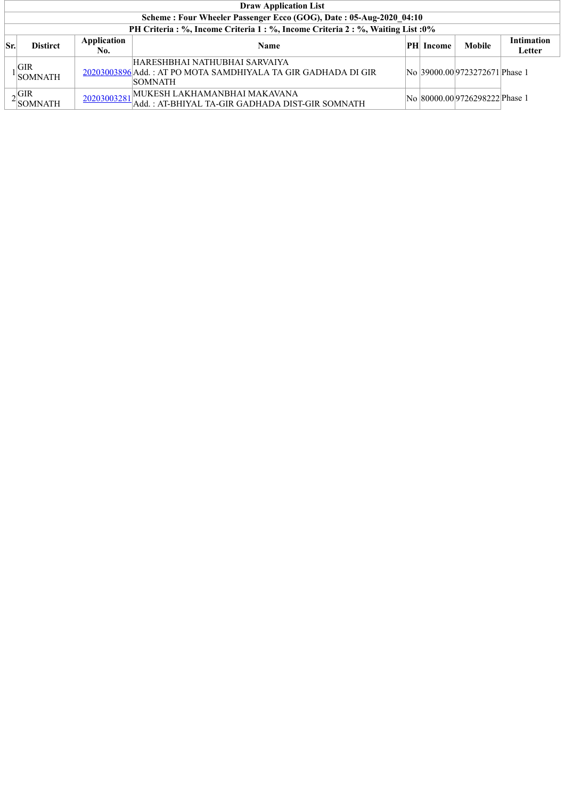|     | <b>Draw Application List</b>                                       |                    |                                                                                                                  |  |                  |                                |                      |  |  |  |  |  |
|-----|--------------------------------------------------------------------|--------------------|------------------------------------------------------------------------------------------------------------------|--|------------------|--------------------------------|----------------------|--|--|--|--|--|
|     | Scheme: Four Wheeler Passenger Ecco (GOG), Date: 05-Aug-2020 04:10 |                    |                                                                                                                  |  |                  |                                |                      |  |  |  |  |  |
|     |                                                                    |                    | PH Criteria: %, Income Criteria 1: %, Income Criteria 2: %, Waiting List: 0%                                     |  |                  |                                |                      |  |  |  |  |  |
| Sr. | <b>Distirct</b>                                                    | Application<br>No. | <b>Name</b>                                                                                                      |  | <b>PH</b> Income | <b>Mobile</b>                  | Intimation<br>Letter |  |  |  |  |  |
|     | GIR<br><b>SOMNATH</b>                                              |                    | HARESHBHAI NATHUBHAI SARVAIYA<br>20203003896 Add.: AT PO MOTA SAMDHIYALA TA GIR GADHADA DI GIR<br><b>SOMNATH</b> |  |                  | No 39000.00 9723272671 Phase 1 |                      |  |  |  |  |  |
|     | $\sim$ GIR<br><b>SOMNATH</b>                                       | 20203003281        | MUKESH LAKHAMANBHAI MAKAVANA<br>Add.: AT-BHIYAL TA-GIR GADHADA DIST-GIR SOMNATH                                  |  |                  | No 80000.00 9726298222 Phase 1 |                      |  |  |  |  |  |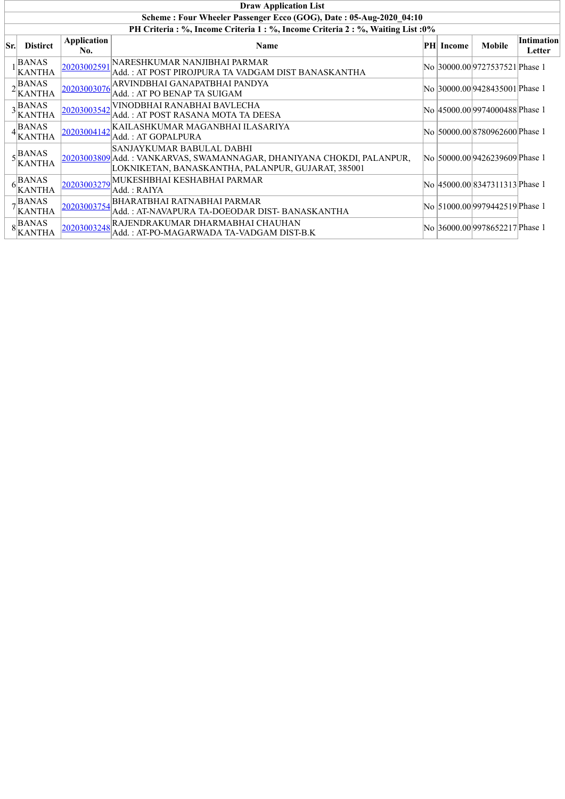|     | <b>Draw Application List</b>                                                     |                           |                                                                                                                                                           |  |           |                                 |                             |  |  |  |  |  |
|-----|----------------------------------------------------------------------------------|---------------------------|-----------------------------------------------------------------------------------------------------------------------------------------------------------|--|-----------|---------------------------------|-----------------------------|--|--|--|--|--|
|     | Scheme: Four Wheeler Passenger Ecco (GOG), Date: 05-Aug-2020 04:10               |                           |                                                                                                                                                           |  |           |                                 |                             |  |  |  |  |  |
|     | PH Criteria : %, Income Criteria 1 : %, Income Criteria 2 : %, Waiting List : 0% |                           |                                                                                                                                                           |  |           |                                 |                             |  |  |  |  |  |
| Sr. | <b>Distirct</b>                                                                  | <b>Application</b><br>No. | <b>Name</b>                                                                                                                                               |  | PH Income | <b>Mobile</b>                   | <b>Intimation</b><br>Letter |  |  |  |  |  |
|     | <b>BANAS</b><br><b>KANTHA</b>                                                    | 20203002591               | NARESHKUMAR NANJIBHAI PARMAR<br>Add. : AT POST PIROJPURA TA VADGAM DIST BANASKANTHA                                                                       |  |           | No 30000.00 9727537521 Phase 1  |                             |  |  |  |  |  |
|     | $\alpha$ BANAS<br><b>KANTHA</b>                                                  | 20203003076               | ARVINDBHAI GANAPATBHAI PANDYA<br>Add.: AT PO BENAP TA SUIGAM                                                                                              |  |           | No  30000.00 9428435001 Phase 1 |                             |  |  |  |  |  |
|     | $3$ <b>BANAS</b><br>KANTHA                                                       | 20203003542               | VINODBHAI RANABHAI BAVLECHA<br>Add. : AT POST RASANA MOTA TA DEESA                                                                                        |  |           | No  45000.00 9974000488 Phase 1 |                             |  |  |  |  |  |
|     | <b>BANAS</b><br>$4$ KANTHA                                                       | 20203004142               | KAILASHKUMAR MAGANBHAI ILASARIYA<br>Add.: AT GOPALPURA                                                                                                    |  |           | No 50000.00 8780962600 Phase 1  |                             |  |  |  |  |  |
|     | $\epsilon$ BANAS<br>$\frac{5}{2}$ KANTHA                                         |                           | SANJAYKUMAR BABULAL DABHI<br>20203003809 Add. : VANKARVAS, SWAMANNAGAR, DHANIYANA CHOKDI, PALANPUR,<br>LOKNIKETAN, BANASKANTHA, PALANPUR, GUJARAT, 385001 |  |           | No  50000.00 9426239609 Phase 1 |                             |  |  |  |  |  |
|     | BANAS<br>$6$ <sup><math>K</math></sup> KANTHA                                    | 20203003279               | MUKESHBHAI KESHABHAI PARMAR<br>Add. : RAIYA                                                                                                               |  |           | No  45000.00 8347311313 Phase 1 |                             |  |  |  |  |  |
|     | , BANAS<br>$7\frac{\text{PATAD}}{\text{KANTHA}}$                                 | 20203003754               | <b>BHARATBHAI RATNABHAI PARMAR</b><br>Add. : AT-NAVAPURA TA-DOEODAR DIST- BANASKANTHA                                                                     |  |           | No 51000.00 9979442519 Phase 1  |                             |  |  |  |  |  |
|     | $8\vert_{\text{BANAS}}^{\text{BANAS}}$<br><b>KANTHA</b>                          | 20203003248               | RAJENDRAKUMAR DHARMABHAI CHAUHAN<br>Add.: AT-PO-MAGARWADA TA-VADGAM DIST-B.K                                                                              |  |           | No 36000.00 9978652217 Phase 1  |                             |  |  |  |  |  |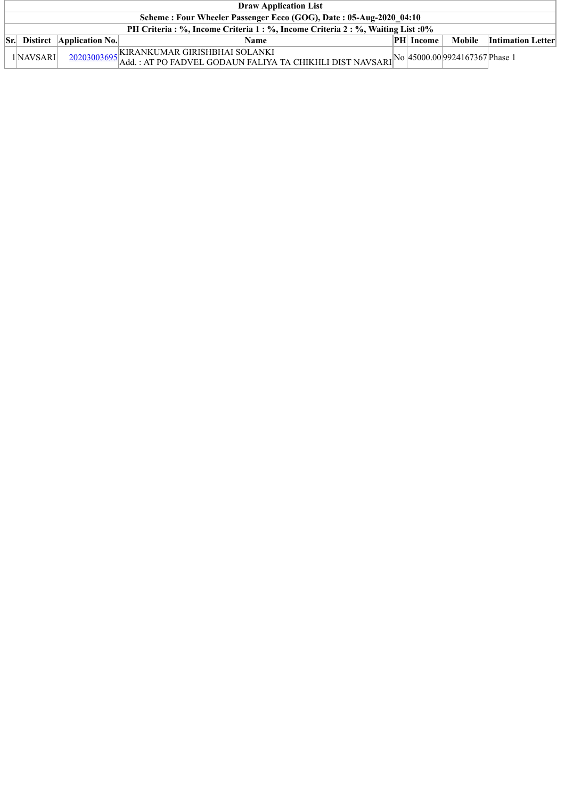| <b>Draw Application List</b>                                                     |                                     |                                                                                                                                                                                                                           |  |                  |        |                          |  |  |  |  |  |
|----------------------------------------------------------------------------------|-------------------------------------|---------------------------------------------------------------------------------------------------------------------------------------------------------------------------------------------------------------------------|--|------------------|--------|--------------------------|--|--|--|--|--|
| Scheme: Four Wheeler Passenger Ecco (GOG), Date: 05-Aug-2020 04:10               |                                     |                                                                                                                                                                                                                           |  |                  |        |                          |  |  |  |  |  |
| PH Criteria : %, Income Criteria 1 : %, Income Criteria 2 : %, Waiting List : 0% |                                     |                                                                                                                                                                                                                           |  |                  |        |                          |  |  |  |  |  |
|                                                                                  | <b>Sr.</b> Distirct Application No. | Name                                                                                                                                                                                                                      |  | <b>PH</b> Income | Mobile | <b>Intimation Letter</b> |  |  |  |  |  |
| 1 NAVSARI                                                                        |                                     | . KIRANKUMAR GIRISHBHAI SOLANKI<br>$\frac{20203003695}{\text{Add: AT PO FADVEL GODALUN FALIYA TA CHIKHLI DIST NAVSARI}}\n\begin{bmatrix}\n\text{No} & \text{45000.00} & \text{9924167367}\n\end{bmatrix}\n\text{Phase 1}$ |  |                  |        |                          |  |  |  |  |  |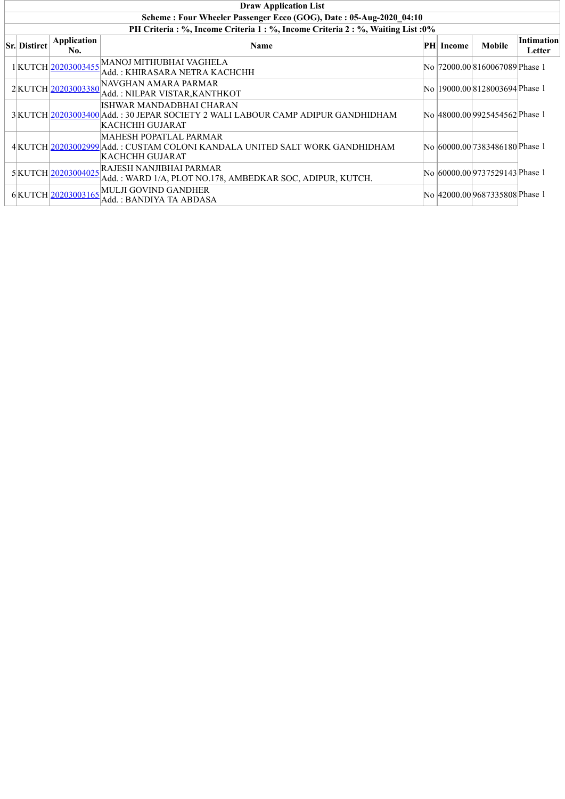| <b>Draw Application List</b>                                                     |                    |                                                                                                                                                |  |                  |                                 |                             |  |  |  |  |
|----------------------------------------------------------------------------------|--------------------|------------------------------------------------------------------------------------------------------------------------------------------------|--|------------------|---------------------------------|-----------------------------|--|--|--|--|
| Scheme: Four Wheeler Passenger Ecco (GOG), Date: 05-Aug-2020 04:10               |                    |                                                                                                                                                |  |                  |                                 |                             |  |  |  |  |
| PH Criteria : %, Income Criteria 1 : %, Income Criteria 2 : %, Waiting List : 0% |                    |                                                                                                                                                |  |                  |                                 |                             |  |  |  |  |
| <b>Sr.</b> Distirct                                                              | Application<br>No. | <b>Name</b>                                                                                                                                    |  | <b>PH</b> Income | <b>Mobile</b>                   | <b>Intimation</b><br>Letter |  |  |  |  |
|                                                                                  |                    | $1\big KUTCH\big \underline{20203003455}\big  MANOJ\, \overline{MITHUBHAI\, VAGHELA}$<br>Add. : KHIRASARA NETRA KACHCHH                        |  |                  | No  72000.00 8160067089 Phase 1 |                             |  |  |  |  |
|                                                                                  | 2KUTCH 20203003380 | NAVGHAN AMARA PARMAR<br>Add.: NILPAR VISTAR, KANTHKOT                                                                                          |  |                  | No  19000.00 8128003694 Phase 1 |                             |  |  |  |  |
|                                                                                  |                    | ISHWAR MANDADBHAI CHARAN<br>3 KUTCH 20203003400 Add.: 30 JEPAR SOCIETY 2 WALI LABOUR CAMP ADIPUR GANDHIDHAM<br> KACHCHH GUJARAT                |  |                  | No  48000.00 9925454562 Phase 1 |                             |  |  |  |  |
|                                                                                  |                    | MAHESH POPATLAL PARMAR<br>4 KUTCH 20203002999 Add.: CUSTAM COLONI KANDALA UNITED SALT WORK GANDHIDHAM<br> KACHCHH GUJARAT                      |  |                  | No 60000.00 7383486180 Phase 1  |                             |  |  |  |  |
|                                                                                  |                    | $5\left \text{KUTCH}\right \underline{20203004025}\text{RAIESH NANJIBHAI PARMAR}$<br>Add.: WARD 1/A, PLOT NO.178, AMBEDKAR SOC, ADIPUR, KUTCH. |  |                  | No  60000.00 9737529143 Phase 1 |                             |  |  |  |  |
|                                                                                  |                    | $6 \times \text{UTCH} \left  \underline{\text{20203003165}} \right  \text{MULJI GOVIND GANDHER}$<br>Add.: BANDIYA TA ABDASA                    |  |                  | No  42000.00 9687335808 Phase 1 |                             |  |  |  |  |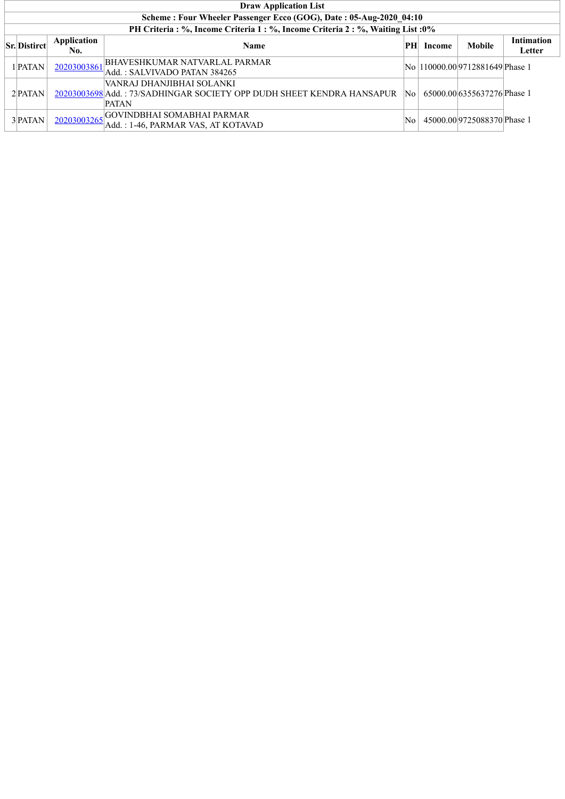|                                                                                  |                    | <b>Draw Application List</b>                                                                                       |    |        |                                  |                             |  |  |  |  |  |  |
|----------------------------------------------------------------------------------|--------------------|--------------------------------------------------------------------------------------------------------------------|----|--------|----------------------------------|-----------------------------|--|--|--|--|--|--|
| Scheme: Four Wheeler Passenger Ecco (GOG), Date: 05-Aug-2020 04:10               |                    |                                                                                                                    |    |        |                                  |                             |  |  |  |  |  |  |
| PH Criteria : %, Income Criteria 1 : %, Income Criteria 2 : %, Waiting List : 0% |                    |                                                                                                                    |    |        |                                  |                             |  |  |  |  |  |  |
| <b>Sr.</b> Distirct                                                              | Application<br>No. | <b>Name</b>                                                                                                        | PH | Income | <b>Mobile</b>                    | <b>Intimation</b><br>Letter |  |  |  |  |  |  |
| 1 PATAN                                                                          | 20203003861        | <b>BHAVESHKUMAR NATVARLAL PARMAR</b><br>Add. : SALVIVADO PATAN 384265                                              |    |        | No  110000.00 9712881649 Phase 1 |                             |  |  |  |  |  |  |
| $2$ <b>PATAN</b>                                                                 |                    | VANRAJ DHANJIBHAI SOLANKI<br>20203003698 Add : 73/SADHINGAR SOCIETY OPP DUDH SHEET KENDRA HANSAPUR<br><b>PATAN</b> | No |        | 65000.00 6355637276 Phase 1      |                             |  |  |  |  |  |  |
| $3$ <b>PATAN</b>                                                                 | 20203003265        | <b>GOVINDBHAI SOMABHAI PARMAR</b><br>Add.: 1-46, PARMAR VAS, AT KOTAVAD                                            | No |        | 45000.009725088370Phase 1        |                             |  |  |  |  |  |  |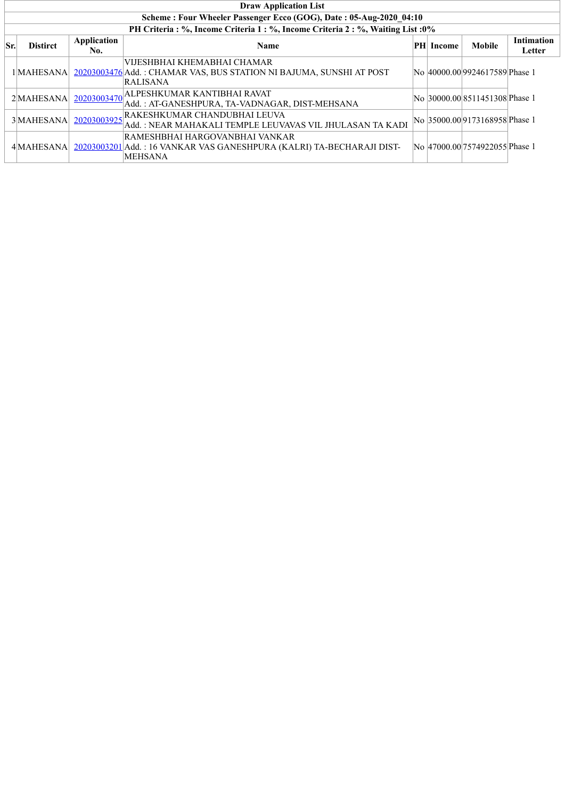|     |                                                                    |                    | <b>Draw Application List</b>                                                                                              |          |        |                                |                             |  |  |  |  |  |
|-----|--------------------------------------------------------------------|--------------------|---------------------------------------------------------------------------------------------------------------------------|----------|--------|--------------------------------|-----------------------------|--|--|--|--|--|
|     | Scheme: Four Wheeler Passenger Ecco (GOG), Date: 05-Aug-2020 04:10 |                    |                                                                                                                           |          |        |                                |                             |  |  |  |  |  |
|     |                                                                    |                    | PH Criteria : %, Income Criteria 1 : %, Income Criteria 2 : %, Waiting List : 0%                                          |          |        |                                |                             |  |  |  |  |  |
| Sr. | <b>Distirct</b>                                                    | Application<br>No. | <b>Name</b>                                                                                                               | $\bf PH$ | Income | <b>Mobile</b>                  | <b>Intimation</b><br>Letter |  |  |  |  |  |
|     | 1 MAHESANA                                                         |                    | VIJESHBHAI KHEMABHAI CHAMAR<br>20203003476 Add.: CHAMAR VAS, BUS STATION NI BAJUMA, SUNSHI AT POST<br>RALISANA            |          |        | No 40000.00 9924617589 Phase 1 |                             |  |  |  |  |  |
|     | 2 MAHESANA                                                         |                    | 20203003470 ALPESHKUMAR KANTIBHAI RAVAT<br>Add.: AT-GANESHPURA, TA-VADNAGAR, DIST-MEHSANA                                 |          |        | No 30000.00 8511451308 Phase 1 |                             |  |  |  |  |  |
|     | 3 MAHESANA                                                         |                    | 20203003925 RAKESHKUMAR CHANDUBHAI LEUVA<br>Add.: NEAR MAHAKALI TEMPLE LEUVAVAS VIL JHULASAN TA KADI                      |          |        | No 35000.00 9173168958 Phase 1 |                             |  |  |  |  |  |
|     | 4 MAHESANA                                                         |                    | RAMESHBHAI HARGOVANBHAI VANKAR<br>20203003201 Add.: 16 VANKAR VAS GANESHPURA (KALRI) TA-BECHARAJI DIST-<br><b>MEHSANA</b> |          |        | No 47000.00 7574922055 Phase 1 |                             |  |  |  |  |  |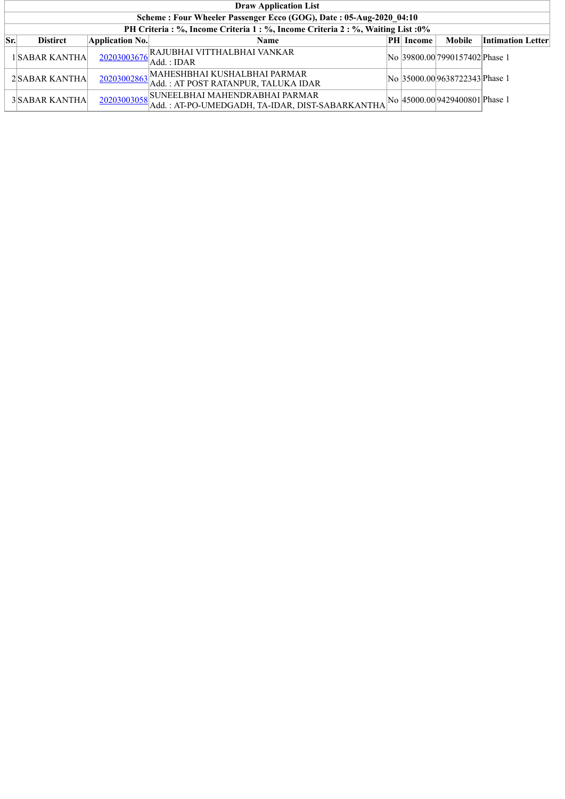|     | <b>Draw Application List</b>                                                     |                 |                                                                                               |  |                  |                                 |                   |  |  |  |  |  |
|-----|----------------------------------------------------------------------------------|-----------------|-----------------------------------------------------------------------------------------------|--|------------------|---------------------------------|-------------------|--|--|--|--|--|
|     | Scheme: Four Wheeler Passenger Ecco (GOG), Date: 05-Aug-2020 04:10               |                 |                                                                                               |  |                  |                                 |                   |  |  |  |  |  |
|     | PH Criteria : %, Income Criteria 1 : %, Income Criteria 2 : %, Waiting List : 0% |                 |                                                                                               |  |                  |                                 |                   |  |  |  |  |  |
| Sr. | <b>Distirct</b>                                                                  | Application No. | <b>Name</b>                                                                                   |  | <b>PH</b> Income | <b>Mobile</b>                   | Intimation Letter |  |  |  |  |  |
|     | 1SABAR KANTHA                                                                    |                 | 20203003676 RAJUBHAI VITTHALBHAI VANKAR<br>Add. : IDAR                                        |  |                  | No 39800.00 7990157402 Phase 1  |                   |  |  |  |  |  |
|     | 2 SABAR KANTHA                                                                   |                 | 20203002863 MAHESHBHAI KUSHALBHAI PARMAR<br>Add. : AT POST RATANPUR, TALUKA IDAR              |  |                  | No 35000.00 9638722343 Phase 1  |                   |  |  |  |  |  |
|     | 3 SABAR KANTHA                                                                   |                 | 20203003058 SUNEELBHAI MAHENDRABHAI PARMAR<br>Add.: AT-PO-UMEDGADH, TA-IDAR, DIST-SABARKANTHA |  |                  | No  45000.00 9429400801 Phase 1 |                   |  |  |  |  |  |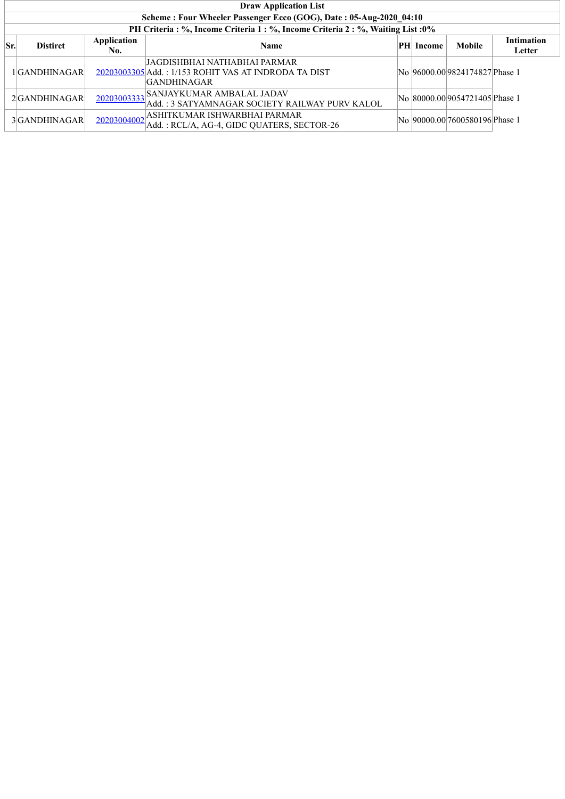|     | <b>Draw Application List</b>                                       |                    |                                                                                                             |  |           |                                 |                             |  |  |  |  |  |
|-----|--------------------------------------------------------------------|--------------------|-------------------------------------------------------------------------------------------------------------|--|-----------|---------------------------------|-----------------------------|--|--|--|--|--|
|     | Scheme: Four Wheeler Passenger Ecco (GOG), Date: 05-Aug-2020 04:10 |                    |                                                                                                             |  |           |                                 |                             |  |  |  |  |  |
|     |                                                                    |                    | PH Criteria : %, Income Criteria 1 : %, Income Criteria 2 : %, Waiting List : 0%                            |  |           |                                 |                             |  |  |  |  |  |
| Sr. | <b>Distirct</b>                                                    | Application<br>No. | <b>Name</b>                                                                                                 |  | PH Income | <b>Mobile</b>                   | <b>Intimation</b><br>Letter |  |  |  |  |  |
|     | 1GANDHINAGAR                                                       |                    | JAGDISHBHAI NATHABHAI PARMAR-<br>20203003305 Add.: 1/153 ROHIT VAS AT INDRODA TA DIST<br><b>GANDHINAGAR</b> |  |           | No  96000.00 9824174827 Phase 1 |                             |  |  |  |  |  |
|     | 2GANDHINAGAR                                                       |                    | 20203003333 SANJAYKUMAR AMBALAL JADAV<br>Add.: 3 SATYAMNAGAR SOCIETY RAILWAY PURV KALOL                     |  |           | No 80000.009054721405 Phase 1   |                             |  |  |  |  |  |
|     | 3GANDHINAGAR                                                       |                    | 20203004002<br>Add.: RCL/A, AG-4, GIDC QUATERS, SECTOR-26                                                   |  |           | No 90000.00 7600580196 Phase 1  |                             |  |  |  |  |  |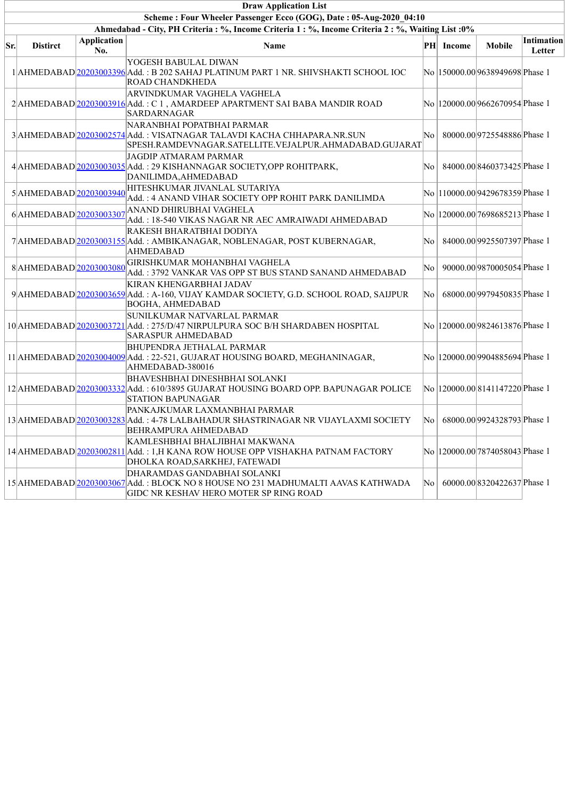|     |                        |                           | <b>Draw Application List</b>                                                                                                                                   |                    |           |                                   |                             |
|-----|------------------------|---------------------------|----------------------------------------------------------------------------------------------------------------------------------------------------------------|--------------------|-----------|-----------------------------------|-----------------------------|
|     |                        |                           | Scheme: Four Wheeler Passenger Ecco (GOG), Date: 05-Aug-2020 04:10                                                                                             |                    |           |                                   |                             |
|     |                        |                           | Ahmedabad - City, PH Criteria : %, Income Criteria 1 : %, Income Criteria 2 : %, Waiting List : 0%                                                             |                    |           |                                   |                             |
| Sr. | <b>Distirct</b>        | <b>Application</b><br>No. | Name                                                                                                                                                           |                    | PH Income | <b>Mobile</b>                     | <b>Intimation</b><br>Letter |
|     |                        |                           | YOGESH BABULAL DIWAN<br>1 AHMEDABAD 20203003396 Add. : B 202 SAHAJ PLATINUM PART 1 NR. SHIVSHAKTI SCHOOL IOC<br><b>ROAD CHANDKHEDA</b>                         |                    |           | No  150000.00 9638949698 Phase 1  |                             |
|     |                        |                           | ARVINDKUMAR VAGHELA VAGHELA<br>2 AHMEDABAD 20203003916 Add.: C 1, AMARDEEP APARTMENT SAI BABA MANDIR ROAD<br><b>SARDARNAGAR</b>                                |                    |           | No  120000.00 9662670954 Phase 1  |                             |
|     |                        |                           | NARANBHAI POPATBHAI PARMAR<br>3 AHMEDABAD 20203002574 Add.: VISATNAGAR TALAVDI KACHA CHHAPARA.NR.SUN<br>SPESH.RAMDEVNAGAR.SATELLITE.VEJALPUR.AHMADABAD.GUJARAT | No                 |           | 80000.00 9725548886 Phase 1       |                             |
|     |                        |                           | JAGDIP ATMARAM PARMAR<br>4 AHMEDABAD 20203003035 Add.: 29 KISHANNAGAR SOCIETY, OPP ROHITPARK,<br>DANILIMDA, AHMEDABAD                                          | No                 |           | 84000.00 8460373425 Phase 1       |                             |
|     | 5AHMEDABAD 20203003940 |                           | HITESHKUMAR JIVANLAL SUTARIYA<br>Add.: 4 ANAND VIHAR SOCIETY OPP ROHIT PARK DANILIMDA                                                                          |                    |           | No  110000.00 9429678359 Phase 1  |                             |
|     | 6AHMEDABAD 20203003307 |                           | ANAND DHIRUBHAI VAGHELA<br>Add.: 18-540 VIKAS NAGAR NR AEC AMRAIWADI AHMEDABAD                                                                                 |                    |           | No  120000.00 7698685213 Phase 1  |                             |
|     |                        |                           | RAKESH BHARATBHAI DODIYA<br>7 AHMEDABAD 20203003155 Add.: AMBIKANAGAR, NOBLENAGAR, POST KUBERNAGAR,<br><b>AHMEDABAD</b>                                        | No                 |           | 84000.00 9925507397 Phase 1       |                             |
|     | 8AHMEDABAD 20203003080 |                           | GIRISHKUMAR MOHANBHAI VAGHELA<br>Add.: 3792 VANKAR VAS OPP ST BUS STAND SANAND AHMEDABAD                                                                       | No                 |           | 90000.00 9870005054 Phase 1       |                             |
|     |                        |                           | KIRAN KHENGARBHAI JADAV<br>9 AHMEDABAD 20203003659 Add.: A-160, VIJAY KAMDAR SOCIETY, G.D. SCHOOL ROAD, SAIJPUR<br>BOGHA, AHMEDABAD                            | No                 |           | 68000.00 9979450835 Phase 1       |                             |
|     |                        |                           | SUNILKUMAR NATVARLAL PARMAR<br>10 AHMEDABAD 20203003721 Add.: 275/D/47 NIRPULPURA SOC B/H SHARDABEN HOSPITAL<br><b>SARASPUR AHMEDABAD</b>                      |                    |           | No  120000.00 9824613876 Phase 1  |                             |
|     |                        |                           | <b>BHUPENDRA JETHALAL PARMAR</b><br>11 AHMEDABAD 20203004009 Add.: 22-521, GUJARAT HOUSING BOARD, MEGHANINAGAR,<br>AHMEDABAD-380016                            |                    |           | No  120000.00 9904885694 Phase 1  |                             |
|     |                        |                           | <b>BHAVESHBHAI DINESHBHAI SOLANKI</b><br>12 AHMEDABAD 20203003332 Add.: 610/3895 GUJARAT HOUSING BOARD OPP. BAPUNAGAR POLICE<br><b>STATION BAPUNAGAR</b>       |                    |           | No  120000.00 8141147220 Phase 1  |                             |
|     |                        |                           | PANKAJKUMAR LAXMANBHAI PARMAR<br>13 AHMEDABAD 20203003283 Add.: 4-78 LALBAHADUR SHASTRINAGAR NR VIJAYLAXMI SOCIETY<br><b>BEHRAMPURA AHMEDABAD</b>              | $\rm{No}$ $\rm{[}$ |           | 68000.00 9924328793 Phase 1       |                             |
|     |                        |                           | KAMLESHBHAI BHALJIBHAI MAKWANA<br>14 AHMEDABAD 20203002811 Add.: 1, H KANA ROW HOUSE OPP VISHAKHA PATNAM FACTORY<br>DHOLKA ROAD, SARKHEJ, FATEWADI             |                    |           | No   120000.00 7874058043 Phase 1 |                             |
|     |                        |                           | DHARAMDAS GANDABHAI SOLANKI<br>15 AHMEDABAD 20203003067 Add.: BLOCK NO 8 HOUSE NO 231 MADHUMALTI AAVAS KATHWADA<br>GIDC NR KESHAV HERO MOTER SP RING ROAD      | No                 |           | 60000.00 8320422637 Phase 1       |                             |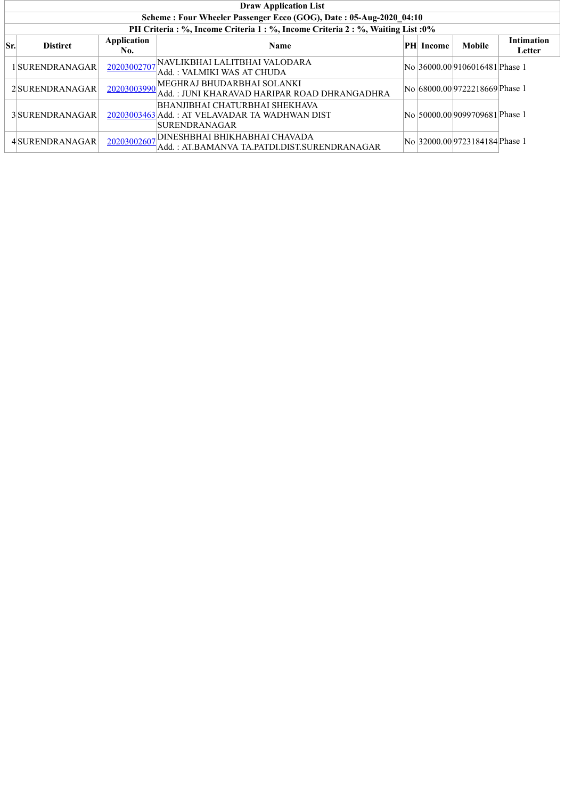|     | <b>Draw Application List</b>                                                     |                    |                                                                                                   |  |                  |                                 |                             |  |  |  |  |
|-----|----------------------------------------------------------------------------------|--------------------|---------------------------------------------------------------------------------------------------|--|------------------|---------------------------------|-----------------------------|--|--|--|--|
|     | Scheme: Four Wheeler Passenger Ecco (GOG), Date: 05-Aug-2020 04:10               |                    |                                                                                                   |  |                  |                                 |                             |  |  |  |  |
|     | PH Criteria : %, Income Criteria 1 : %, Income Criteria 2 : %, Waiting List : 0% |                    |                                                                                                   |  |                  |                                 |                             |  |  |  |  |
| Sr. | <b>Distirct</b>                                                                  | Application<br>No. | <b>Name</b>                                                                                       |  | <b>PH</b> Income | <b>Mobile</b>                   | <b>Intimation</b><br>Letter |  |  |  |  |
|     | 1SURENDRANAGAR                                                                   | 20203002707        | NAVLIKBHAI LALITBHAI VALODARA!<br>Add. : VALMIKI WAS AT CHUDA                                     |  |                  | No  36000.00 9106016481 Phase 1 |                             |  |  |  |  |
|     | 2 SURENDRANAGAR                                                                  | 20203003990        | MEGHRAJ BHUDARBHAI SOLANKI<br>Add.: JUNI KHARAVAD HARIPAR ROAD DHRANGADHRA                        |  |                  | No 68000.00 9722218669 Phase 1  |                             |  |  |  |  |
|     | 3 SURENDRANAGAR                                                                  |                    | BHANJIBHAI CHATURBHAI SHEKHAVA<br>20203003463 Add.: AT VELAVADAR TA WADHWAN DIST<br>SURENDRANAGAR |  |                  | No 50000.009099709681 Phase 1   |                             |  |  |  |  |
|     | 4 SURENDRANAGAR                                                                  | 20203002607        | DINESHBHAI BHIKHABHAI CHAVADA<br>Add.: AT.BAMANVA TA.PATDI.DIST.SURENDRANAGAR                     |  |                  | No 32000.009723184184 Phase 1   |                             |  |  |  |  |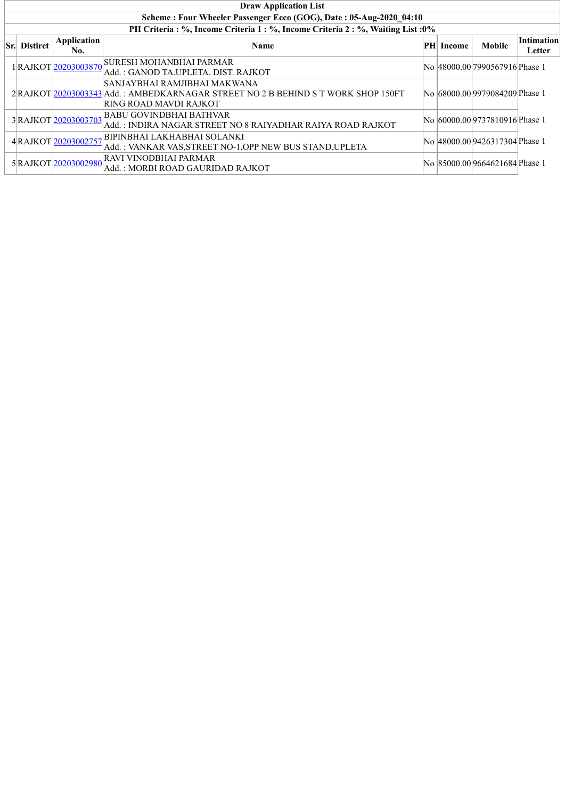| <b>Draw Application List</b>                                                     |                           |                                                                                                                                             |    |        |                                 |                             |  |  |  |  |  |
|----------------------------------------------------------------------------------|---------------------------|---------------------------------------------------------------------------------------------------------------------------------------------|----|--------|---------------------------------|-----------------------------|--|--|--|--|--|
| Scheme: Four Wheeler Passenger Ecco (GOG), Date: 05-Aug-2020 04:10               |                           |                                                                                                                                             |    |        |                                 |                             |  |  |  |  |  |
| PH Criteria : %, Income Criteria 1 : %, Income Criteria 2 : %, Waiting List : 0% |                           |                                                                                                                                             |    |        |                                 |                             |  |  |  |  |  |
| <b>Sr.</b> Distirct                                                              | <b>Application</b><br>No. | <b>Name</b>                                                                                                                                 | PH | Income | <b>Mobile</b>                   | <b>Intimation</b><br>Letter |  |  |  |  |  |
|                                                                                  | 1RAJKOT20203003870        | <b>SURESH MOHANBHAI PARMAR</b><br>Add. : GANOD TA.UPLETA. DIST. RAJKOT                                                                      |    |        | No  48000.00 7990567916 Phase 1 |                             |  |  |  |  |  |
|                                                                                  |                           | SANJAYBHAI RAMJIBHAI MAKWANA<br>2 RAJKOT 20203003343 Add.: AMBEDKARNAGAR STREET NO 2 B BEHIND S T WORK SHOP 150FT<br>RING ROAD MAVDI RAJKOT |    |        | No 68000.00 9979084209 Phase 1  |                             |  |  |  |  |  |
|                                                                                  | 3RAJKOT20203003703        | <b>BABU GOVINDBHAI BATHVAR</b><br> Add. : INDIRA NAGAR STREET NO 8 RAIYADHAR RAIYA ROAD RAJKOT                                              |    |        | No 60000.009737810916 Phase 1   |                             |  |  |  |  |  |
|                                                                                  | 4RAJKOT20203002757        | BIPINBHAI LAKHABHAI SOLANKI!<br>Add.: VANKAR VAS, STREET NO-1, OPP NEW BUS STAND, UPLETA                                                    |    |        | No 48000.00 9426317304 Phase 1  |                             |  |  |  |  |  |
|                                                                                  | 5RAJKOT20203002980        | <b>RAVI VINODBHAI PARMAR</b><br> Add. : MORBI ROAD GAURIDAD RAJKOT                                                                          |    |        | No 85000.00 9664621684 Phase 1  |                             |  |  |  |  |  |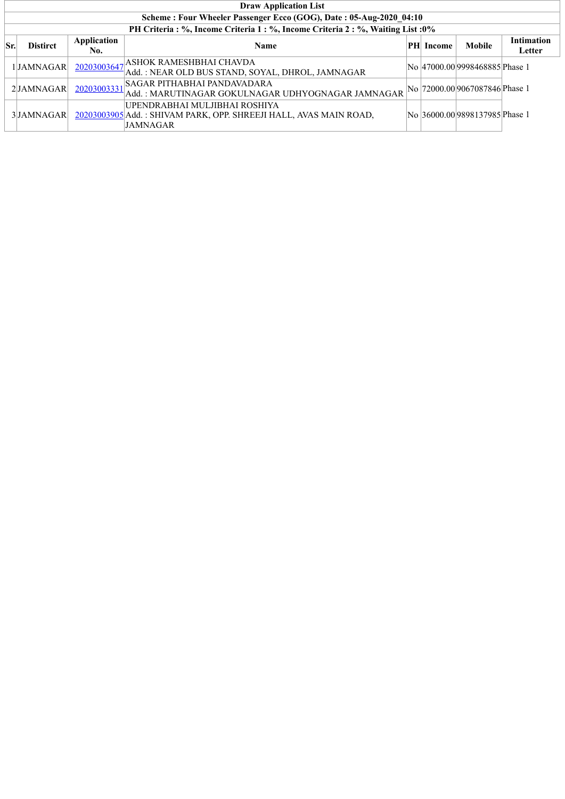|     | <b>Draw Application List</b>                                                     |                    |                                                                                                                       |  |                  |                                 |                             |  |  |  |  |  |
|-----|----------------------------------------------------------------------------------|--------------------|-----------------------------------------------------------------------------------------------------------------------|--|------------------|---------------------------------|-----------------------------|--|--|--|--|--|
|     | Scheme: Four Wheeler Passenger Ecco (GOG), Date: 05-Aug-2020 04:10               |                    |                                                                                                                       |  |                  |                                 |                             |  |  |  |  |  |
|     | PH Criteria : %, Income Criteria 1 : %, Income Criteria 2 : %, Waiting List : 0% |                    |                                                                                                                       |  |                  |                                 |                             |  |  |  |  |  |
| Sr. | <b>Distirct</b>                                                                  | Application<br>No. | <b>Name</b>                                                                                                           |  | <b>PH</b> Income | <b>Mobile</b>                   | <b>Intimation</b><br>Letter |  |  |  |  |  |
|     | 1JAMNAGAR                                                                        | 20203003647        | , ASHOK RAMESHBHAI CHAVDA<br>Add.: NEAR OLD BUS STAND, SOYAL, DHROL, JAMNAGAR                                         |  |                  | No 47000.00 9998468885 Phase 1  |                             |  |  |  |  |  |
|     | 2JAMNAGAR                                                                        | 20203003331        | <b>SAGAR PITHABHAI PANDAVADARA</b><br>Add.: MARUTINAGAR GOKULNAGAR UDHYOGNAGAR JAMNAGAR                               |  |                  | No  72000.00 9067087846 Phase 1 |                             |  |  |  |  |  |
|     | 3 JAMNAGAR                                                                       |                    | UPENDRABHAI MULJIBHAI ROSHIYA<br>20203003905 Add.: SHIVAM PARK, OPP. SHREEJI HALL, AVAS MAIN ROAD,<br><b>JAMNAGAR</b> |  |                  | No 36000.00 9898137985 Phase 1  |                             |  |  |  |  |  |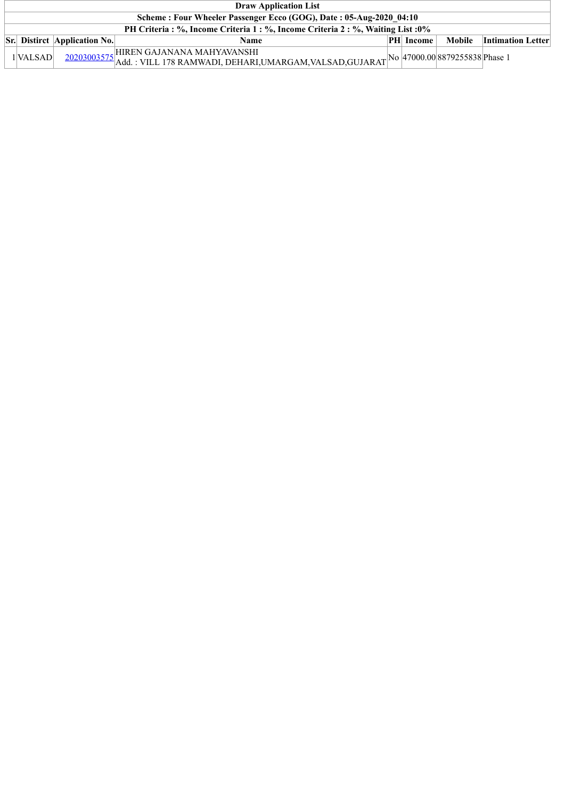| <b>Draw Application List</b>                                                     |                                     |                                                                                                                                             |  |                  |        |                          |  |  |  |
|----------------------------------------------------------------------------------|-------------------------------------|---------------------------------------------------------------------------------------------------------------------------------------------|--|------------------|--------|--------------------------|--|--|--|
| Scheme: Four Wheeler Passenger Ecco (GOG), Date: 05-Aug-2020 04:10               |                                     |                                                                                                                                             |  |                  |        |                          |  |  |  |
| PH Criteria : %, Income Criteria 1 : %, Income Criteria 2 : %, Waiting List : 0% |                                     |                                                                                                                                             |  |                  |        |                          |  |  |  |
|                                                                                  | <b>Sr.</b> Distirct Application No. | Name                                                                                                                                        |  | <b>PH</b> Income | Mobile | <b>Intimation Letter</b> |  |  |  |
| 1 VALSAD                                                                         |                                     | 20203003575 HIREN GAJANANA MAHYAVANSHI<br>20203003575 Add. : VILL 178 RAMWADI, DEHARI,UMARGAM,VALSAD,GUJARAT No 47000.00 8879255838 Phase 1 |  |                  |        |                          |  |  |  |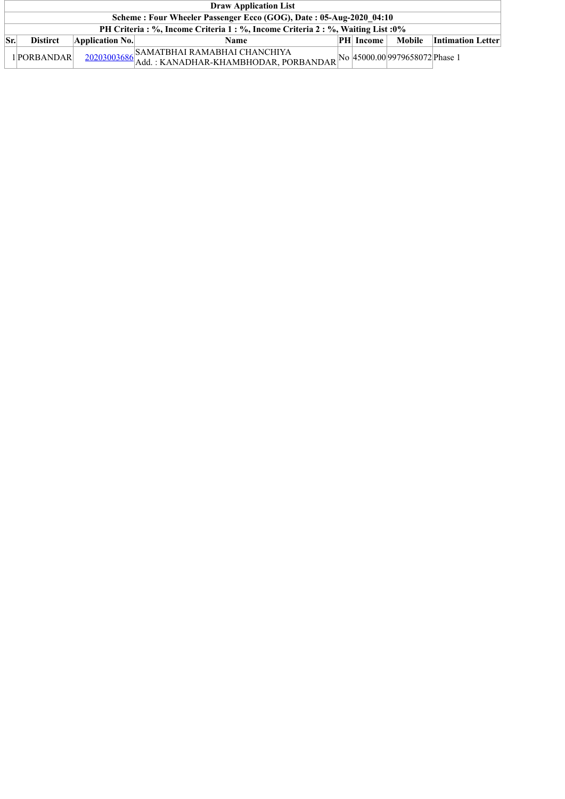|     | <b>Draw Application List</b>                                                     |                 |                                                                                                                              |  |                  |        |                          |  |  |  |
|-----|----------------------------------------------------------------------------------|-----------------|------------------------------------------------------------------------------------------------------------------------------|--|------------------|--------|--------------------------|--|--|--|
|     | Scheme: Four Wheeler Passenger Ecco (GOG), Date: 05-Aug-2020 04:10               |                 |                                                                                                                              |  |                  |        |                          |  |  |  |
|     | PH Criteria : %, Income Criteria 1 : %, Income Criteria 2 : %, Waiting List : 0% |                 |                                                                                                                              |  |                  |        |                          |  |  |  |
| Sr. | <b>Distirct</b>                                                                  | Application No. | <b>Name</b>                                                                                                                  |  | <b>PH</b> Income | Mobile | <b>Intimation Letter</b> |  |  |  |
|     | 1 PORBANDAR                                                                      |                 | $\frac{20203003686}{\text{Add: KANADHAR-KHAMBHODAR, PORBANDAR}}\text{No} \text{ 45000.00} \text{ 9979658072} \text{Phase 1}$ |  |                  |        |                          |  |  |  |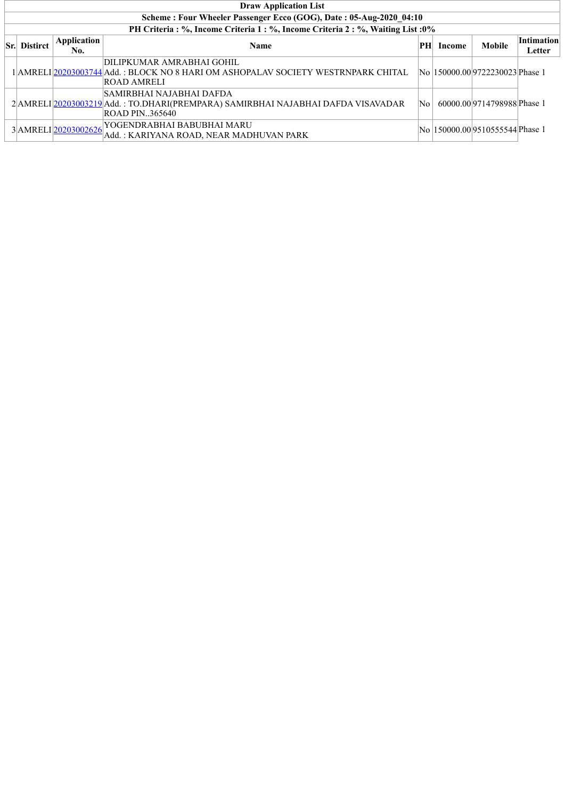| <b>Draw Application List</b>                                                     |                    |                                                                                                                                        |    |               |                                  |                      |  |  |  |  |  |  |
|----------------------------------------------------------------------------------|--------------------|----------------------------------------------------------------------------------------------------------------------------------------|----|---------------|----------------------------------|----------------------|--|--|--|--|--|--|
| Scheme: Four Wheeler Passenger Ecco (GOG), Date: 05-Aug-2020 04:10               |                    |                                                                                                                                        |    |               |                                  |                      |  |  |  |  |  |  |
| PH Criteria : %, Income Criteria 1 : %, Income Criteria 2 : %, Waiting List : 0% |                    |                                                                                                                                        |    |               |                                  |                      |  |  |  |  |  |  |
| <b>Sr.</b> Distirct                                                              | Application<br>No. | <b>Name</b>                                                                                                                            | PH | <b>Income</b> | <b>Mobile</b>                    | Intimation<br>Letter |  |  |  |  |  |  |
|                                                                                  |                    | DILIPKUMAR AMRABHAI GOHIL<br>1 AMRELI 20203003744 Add. : BLOCK NO 8 HARI OM ASHOPALAV SOCIETY WESTRNPARK CHITAL<br><b>ROAD AMRELI</b>  |    |               | No  150000.00 9722230023 Phase 1 |                      |  |  |  |  |  |  |
|                                                                                  |                    | SAMIRBHAI NAJABHAI DAFDA<br>2 AMRELI 20203003219 Add.: TO.DHARI (PREMPARA) SAMIRBHAI NAJABHAI DAFDA VISAVADAR<br><b>ROAD PIN365640</b> | No |               | 60000.009714798988Phase 1        |                      |  |  |  |  |  |  |
|                                                                                  |                    | $3\mbox{$\mid$AMRELI\mbox{$\mid$20203002626$} VOGENDRABHAI BABUBHAI MARU}$<br>Add.: KARIYANA ROAD, NEAR MADHUVAN PARK                  |    |               | No  150000.00 9510555544 Phase 1 |                      |  |  |  |  |  |  |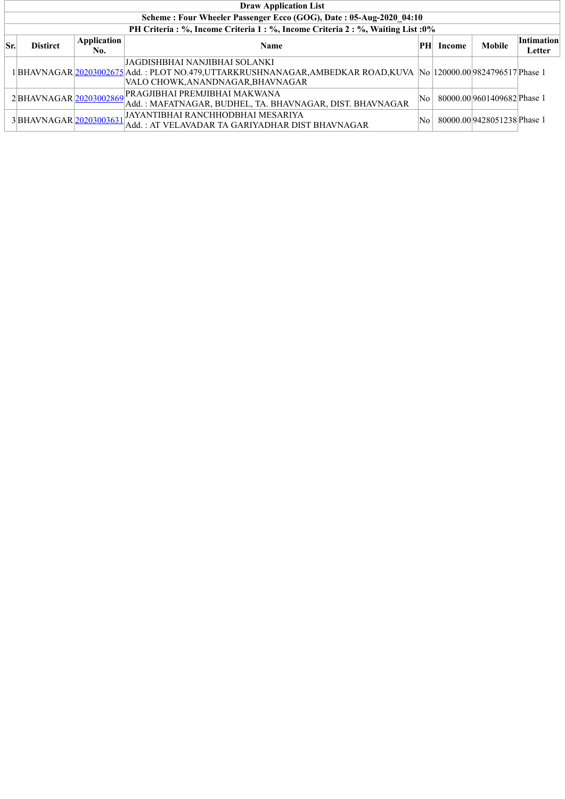|     | <b>Draw Application List</b>                                       |                    |                                                                                                                                                                                                |    |        |                             |                      |  |  |  |  |
|-----|--------------------------------------------------------------------|--------------------|------------------------------------------------------------------------------------------------------------------------------------------------------------------------------------------------|----|--------|-----------------------------|----------------------|--|--|--|--|
|     | Scheme: Four Wheeler Passenger Ecco (GOG), Date: 05-Aug-2020 04:10 |                    |                                                                                                                                                                                                |    |        |                             |                      |  |  |  |  |
|     |                                                                    |                    | PH Criteria : %, Income Criteria 1 : %, Income Criteria 2 : %, Waiting List : 0%                                                                                                               |    |        |                             |                      |  |  |  |  |
| Sr. | <b>Distirct</b>                                                    | Application<br>No. | <b>Name</b>                                                                                                                                                                                    | PH | Income | <b>Mobile</b>               | Intimation<br>Letter |  |  |  |  |
|     |                                                                    |                    | JAGDISHBHAI NANJIBHAI SOLANKI<br>1 BHAVNAGAR  <u>20203002675 </u> Add. : PLOT NO.479,UTTARKRUSHNANAGAR,AMBEDKAR ROAD,KUVA  No  120000.00 9824796517 Phase 1<br>VALO CHOWK,ANANDNAGAR,BHAVNAGAR |    |        |                             |                      |  |  |  |  |
|     | 2BHAVNAGAR 20203002869                                             |                    | PRAGJIBHAI PREMJIBHAI MAKWANA<br>Add.: MAFATNAGAR, BUDHEL, TA. BHAVNAGAR, DIST. BHAVNAGAR                                                                                                      | No |        | 80000.00 9601409682 Phase 1 |                      |  |  |  |  |
|     | 3BHAVNAGAR 20203003631                                             |                    | JAYANTIBHAI RANCHHODBHAI MESARIYA<br>Add.: AT VELAVADAR TA GARIYADHAR DIST BHAVNAGAR                                                                                                           | No |        | 80000.00 9428051238 Phase 1 |                      |  |  |  |  |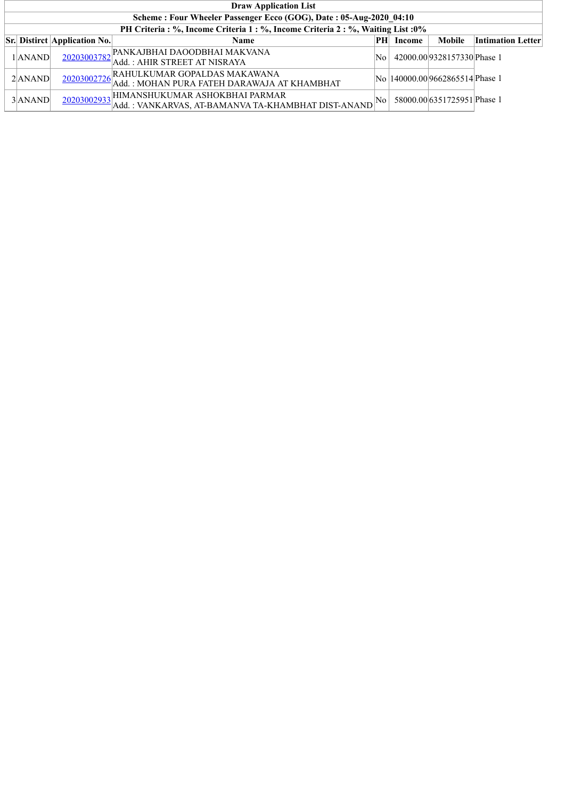| <b>Draw Application List</b>                                                     |                                     |                                                                                          |                     |        |                                  |                          |  |  |  |  |  |
|----------------------------------------------------------------------------------|-------------------------------------|------------------------------------------------------------------------------------------|---------------------|--------|----------------------------------|--------------------------|--|--|--|--|--|
| Scheme: Four Wheeler Passenger Ecco (GOG), Date: 05-Aug-2020 04:10               |                                     |                                                                                          |                     |        |                                  |                          |  |  |  |  |  |
| PH Criteria : %, Income Criteria 1 : %, Income Criteria 2 : %, Waiting List : 0% |                                     |                                                                                          |                     |        |                                  |                          |  |  |  |  |  |
|                                                                                  | <b>Sr.</b> Distirct Application No. | <b>Name</b>                                                                              | PН                  | Income | <b>Mobile</b>                    | <b>Intimation Letter</b> |  |  |  |  |  |
| $1$  ANAND                                                                       |                                     | 20203003782 Add. : AHIR STREET AT NISRAYA<br>Add. : AHIR STREET AT NISRAYA               | No                  |        | 42000.009328157330Phase 1        |                          |  |  |  |  |  |
| $2$ $ANAND$                                                                      |                                     | 20203002726 RAHULKUMAR GOPALDAS MAKAWANA<br>Add. : MOHAN PURA FATEH DARAWAJA AT KHAMBHAT |                     |        | No  140000.00 9662865514 Phase 1 |                          |  |  |  |  |  |
| 3ANAND                                                                           |                                     | $\frac{20203002933}{\text{Add.}}$ : VANKARVAS, AT-BAMANVA TA-KHAMBHAT DIST-ANAND         | $\overline{\rm No}$ |        | 58000.00 6351725951 Phase 1      |                          |  |  |  |  |  |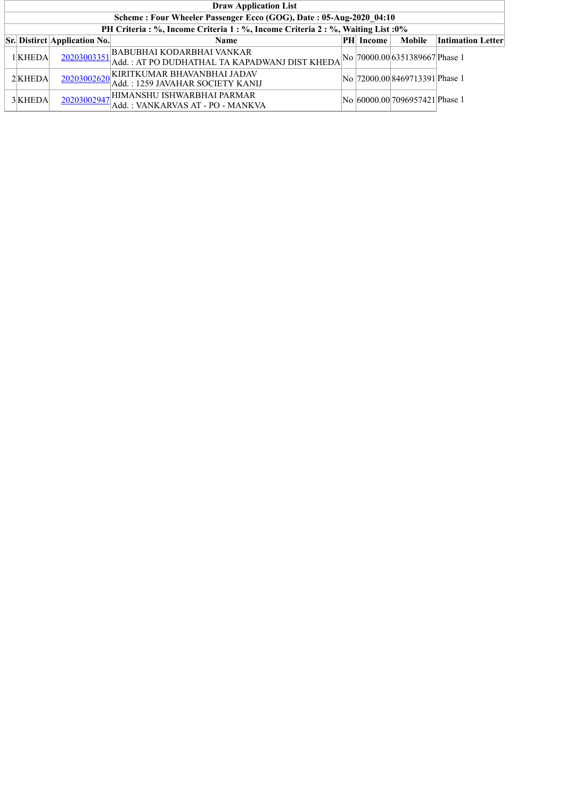|           | <b>Draw Application List</b>                                                     |                                                                             |  |                  |                                 |                          |  |  |  |  |  |
|-----------|----------------------------------------------------------------------------------|-----------------------------------------------------------------------------|--|------------------|---------------------------------|--------------------------|--|--|--|--|--|
|           | Scheme: Four Wheeler Passenger Ecco (GOG), Date: 05-Aug-2020 04:10               |                                                                             |  |                  |                                 |                          |  |  |  |  |  |
|           | PH Criteria : %, Income Criteria 1 : %, Income Criteria 2 : %, Waiting List : 0% |                                                                             |  |                  |                                 |                          |  |  |  |  |  |
|           | <b>Sr.</b> Distirct Application No.                                              | <b>Name</b>                                                                 |  | <b>PH</b> Income | Mobile                          | <b>Intimation Letter</b> |  |  |  |  |  |
| 1 KHEDA   |                                                                                  | $\frac{20203003351}{\text{Add: ATPO DUDHATHAL TA KAPADWANI DIST KHEDA}}$    |  |                  | No  70000.00 6351389667 Phase 1 |                          |  |  |  |  |  |
| $2$ KHEDA |                                                                                  | 20203002620 KIRITKUMAR BHAVANBHAI JADAV<br>Add.: 1259 JAVAHAR SOCIETY KANIJ |  |                  | No  72000.00 8469713391 Phase 1 |                          |  |  |  |  |  |
| 3 KHEDA   |                                                                                  | 20203002947 HIMANSHU ISHWARBHAI PARMAR<br>Add.: VANKARVAS AT - PO - MANKVA  |  |                  | No 60000.00 7096957421 Phase 1  |                          |  |  |  |  |  |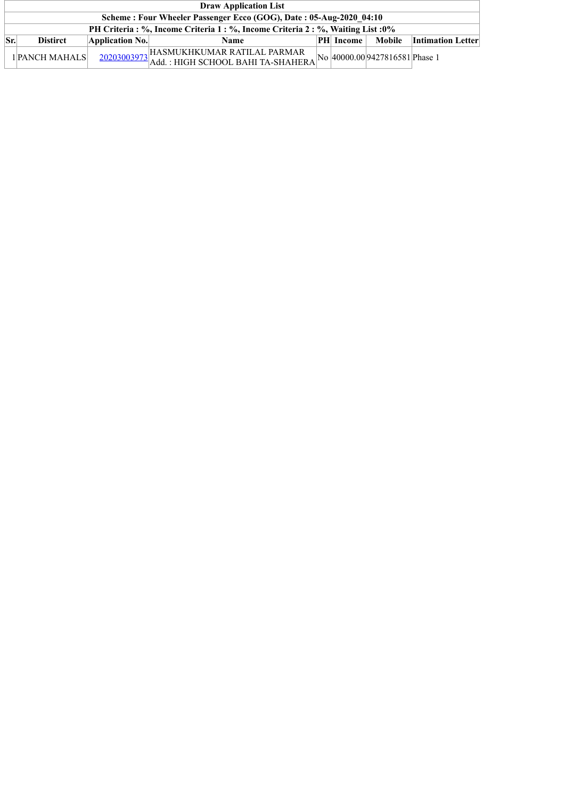|     | <b>Draw Application List</b>                                                     |                 |                                                                                                                                     |  |                  |        |                          |  |  |  |
|-----|----------------------------------------------------------------------------------|-----------------|-------------------------------------------------------------------------------------------------------------------------------------|--|------------------|--------|--------------------------|--|--|--|
|     | Scheme: Four Wheeler Passenger Ecco (GOG), Date: 05-Aug-2020 04:10               |                 |                                                                                                                                     |  |                  |        |                          |  |  |  |
|     | PH Criteria : %, Income Criteria 1 : %, Income Criteria 2 : %, Waiting List : 0% |                 |                                                                                                                                     |  |                  |        |                          |  |  |  |
| Sr. | <b>Distirct</b>                                                                  | Application No. | <b>Name</b>                                                                                                                         |  | <b>PH</b> Income | Mobile | <b>Intimation Letter</b> |  |  |  |
|     | 1 PANCH MAHALS                                                                   |                 | $\frac{20203003973}{\text{Add.}: \text{HIGH SCHOOL BAHI TA-SHAHERA}}\text{No} \Big  40000.00 \Big  9427816581 \Big  \text{Phase 1}$ |  |                  |        |                          |  |  |  |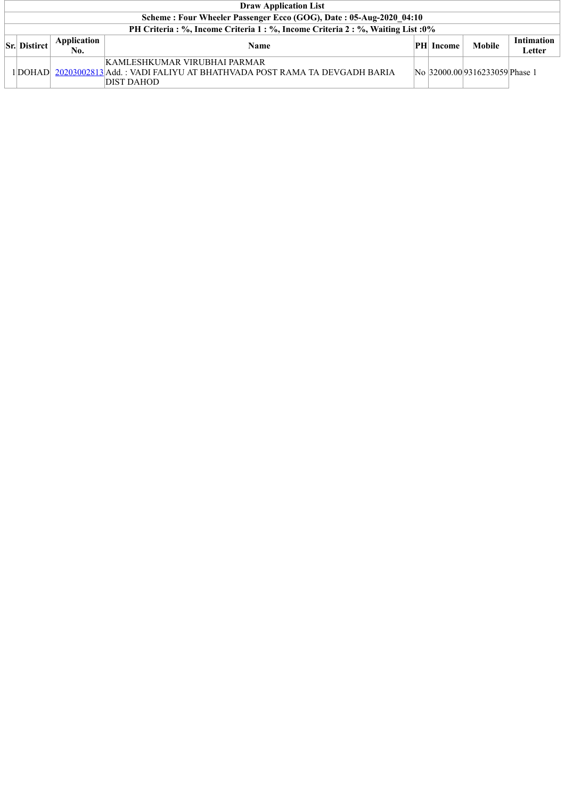| <b>Draw Application List</b>                                                     |                    |                                                                                                                      |    |               |                                |                             |  |  |  |
|----------------------------------------------------------------------------------|--------------------|----------------------------------------------------------------------------------------------------------------------|----|---------------|--------------------------------|-----------------------------|--|--|--|
| Scheme: Four Wheeler Passenger Ecco (GOG), Date: 05-Aug-2020 04:10               |                    |                                                                                                                      |    |               |                                |                             |  |  |  |
| PH Criteria : %, Income Criteria 1 : %, Income Criteria 2 : %, Waiting List : 0% |                    |                                                                                                                      |    |               |                                |                             |  |  |  |
| <b>Sr. Distirct</b>                                                              | Application<br>No. | <b>Name</b>                                                                                                          | PH | <b>Income</b> | Mobile                         | <b>Intimation</b><br>Letter |  |  |  |
| 1DOHAD                                                                           |                    | KAMLESHKUMAR VIRUBHAI PARMAR<br>20203002813 Add. : VADI FALIYU AT BHATHVADA POST RAMA TA DEVGADH BARIA<br>DIST DAHOD |    |               | No 32000.00 9316233059 Phase 1 |                             |  |  |  |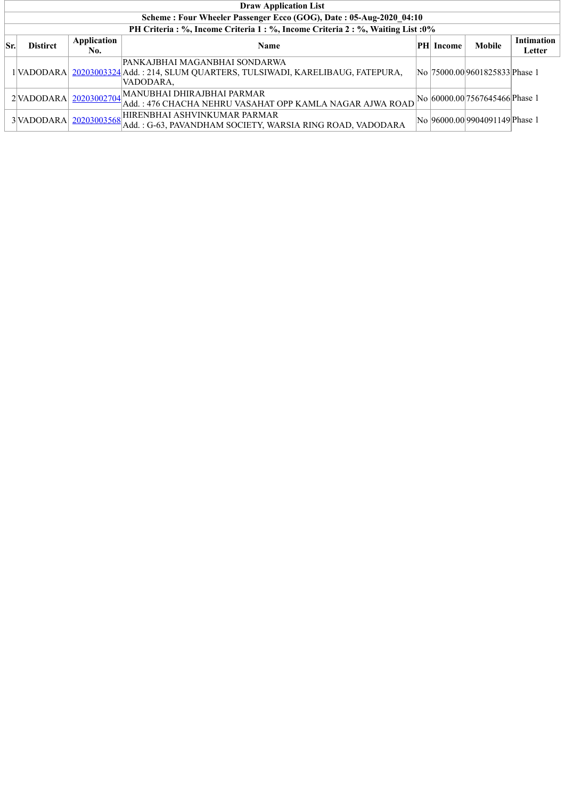|     | <b>Draw Application List</b>                                       |             |                                                                                    |  |           |                                 |                   |  |  |  |
|-----|--------------------------------------------------------------------|-------------|------------------------------------------------------------------------------------|--|-----------|---------------------------------|-------------------|--|--|--|
|     | Scheme: Four Wheeler Passenger Ecco (GOG), Date: 05-Aug-2020 04:10 |             |                                                                                    |  |           |                                 |                   |  |  |  |
|     |                                                                    |             | PH Criteria : %, Income Criteria 1 : %, Income Criteria 2 : %, Waiting List : 0%   |  |           |                                 |                   |  |  |  |
| Sr. | <b>Distirct</b>                                                    | Application | <b>Name</b>                                                                        |  | PH Income | <b>Mobile</b>                   | <b>Intimation</b> |  |  |  |
|     |                                                                    | No.         |                                                                                    |  |           |                                 | Letter            |  |  |  |
|     |                                                                    |             | PANKAJBHAI MAGANBHAI SONDARWA                                                      |  |           |                                 |                   |  |  |  |
|     |                                                                    |             | 1 VADODARA 20203003324 Add.: 214, SLUM QUARTERS, TULSIWADI, KARELIBAUG, FATEPURA,  |  |           | No  75000.00 9601825833 Phase 1 |                   |  |  |  |
|     |                                                                    |             | VADODARA,                                                                          |  |           |                                 |                   |  |  |  |
|     |                                                                    |             | $2\begin{vmatrix} VADODARA & 20203002704 \end{vmatrix}$ MANUBHAI DHIRAJBHAI PARMAR |  |           | No 60000.00 7567645466 Phase 1  |                   |  |  |  |
|     |                                                                    |             | Add.: 476 CHACHA NEHRU VASAHAT OPP KAMLA NAGAR AJWA ROAD                           |  |           |                                 |                   |  |  |  |
|     |                                                                    |             | 3 VADODARA 20203003568 HIRENBHAI ASHVINKUMAR PARMAR                                |  |           | No 96000.00 9904091149 Phase 1  |                   |  |  |  |
|     |                                                                    |             | Add.: G-63, PAVANDHAM SOCIETY, WARSIA RING ROAD, VADODARA                          |  |           |                                 |                   |  |  |  |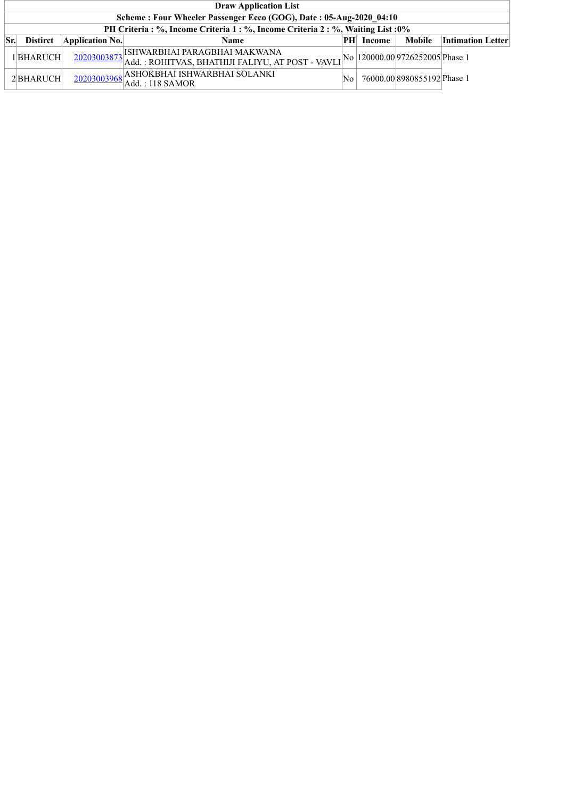|     | <b>Draw Application List</b>                                                     |                 |                                                                                                                                                            |     |        |                             |                          |  |  |  |
|-----|----------------------------------------------------------------------------------|-----------------|------------------------------------------------------------------------------------------------------------------------------------------------------------|-----|--------|-----------------------------|--------------------------|--|--|--|
|     | Scheme: Four Wheeler Passenger Ecco (GOG), Date: 05-Aug-2020_04:10               |                 |                                                                                                                                                            |     |        |                             |                          |  |  |  |
|     | PH Criteria : %, Income Criteria 1 : %, Income Criteria 2 : %, Waiting List : 0% |                 |                                                                                                                                                            |     |        |                             |                          |  |  |  |
| Sr. | <b>Distirct</b>                                                                  | Application No. | Name                                                                                                                                                       | PH  | Income | Mobile                      | <b>Intimation Letter</b> |  |  |  |
|     | 1BHARUCH                                                                         |                 | $\frac{20203003873}{\text{Add.}:}\text{ROHITVAS, BHATHJI FALIYU, AT POST - VAVLI}^{\text{No}}\text{No} \text{120000.00}\text{9726252005}^{\text{Phase 1}}$ |     |        |                             |                          |  |  |  |
|     | 2BHARUCH                                                                         |                 | 20203003968<br>Add. : 118 SAMOR                                                                                                                            | No. |        | 76000.00 8980855192 Phase 1 |                          |  |  |  |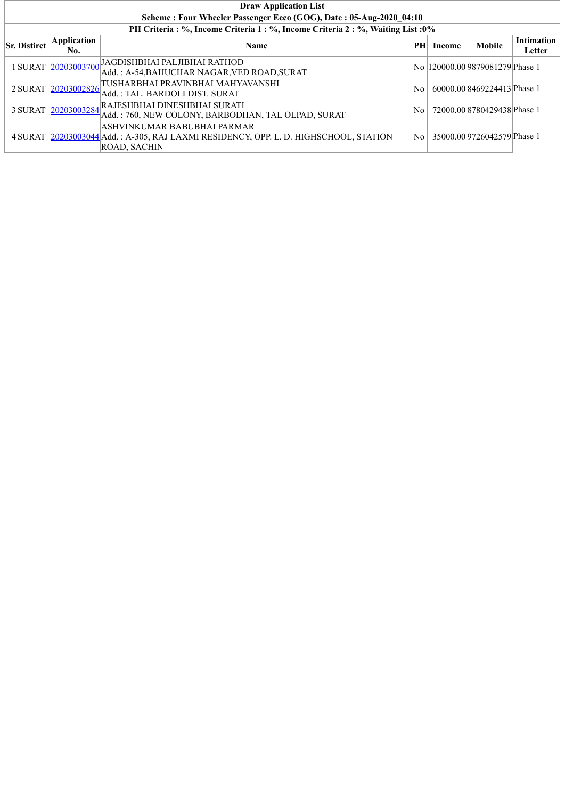| <b>Draw Application List</b>                                       |                      |                                                                                                                                             |                        |        |                                  |                             |  |  |  |
|--------------------------------------------------------------------|----------------------|---------------------------------------------------------------------------------------------------------------------------------------------|------------------------|--------|----------------------------------|-----------------------------|--|--|--|
| Scheme: Four Wheeler Passenger Ecco (GOG), Date: 05-Aug-2020_04:10 |                      |                                                                                                                                             |                        |        |                                  |                             |  |  |  |
|                                                                    |                      | PH Criteria : %, Income Criteria 1 : %, Income Criteria 2 : %, Waiting List : 0%                                                            |                        |        |                                  |                             |  |  |  |
| <b>Sr.</b> Distirct                                                | Application<br>No.   | <b>Name</b>                                                                                                                                 | PH                     | Income | <b>Mobile</b>                    | <b>Intimation</b><br>Letter |  |  |  |
|                                                                    | 1 SURAT  20203003700 | JAGDISHBHAI PALJIBHAI RATHOD<br>Add.: A-54.BAHUCHAR NAGAR.VED ROAD.SURAT                                                                    |                        |        | No  120000.00 9879081279 Phase 1 |                             |  |  |  |
|                                                                    | 2SURAT 20203002826   | TUSHARBHAI PRAVINBHAI MAHYAVANSHI<br> Add. : TAL. BARDOLI DIST. SURAT                                                                       | No.                    |        | 60000.008469224413Phase 1        |                             |  |  |  |
|                                                                    | 3SURAT 20203003284   | RAJESHBHAI DINESHBHAI SURATI<br>Add.: 760, NEW COLONY, BARBODHAN, TAL OLPAD, SURAT                                                          | $\overline{\text{No}}$ |        | 72000.00 8780429438 Phase 1      |                             |  |  |  |
|                                                                    |                      | ASHVINKUMAR BABUBHAI PARMAR <br>4 SURAT 20203003044 Add.: A-305, RAJ LAXMI RESIDENCY, OPP. L. D. HIGHSCHOOL, STATION<br><b>ROAD, SACHIN</b> | $\overline{\text{No}}$ |        | 35000.00 9726042579 Phase 1      |                             |  |  |  |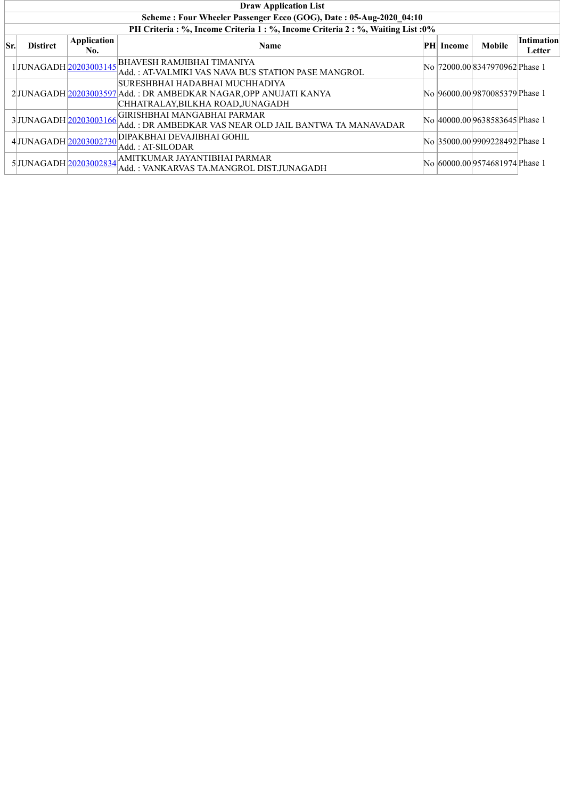|     | <b>Draw Application List</b>                                                     |                    |                                                                                                                                        |    |        |                                 |                             |  |  |  |
|-----|----------------------------------------------------------------------------------|--------------------|----------------------------------------------------------------------------------------------------------------------------------------|----|--------|---------------------------------|-----------------------------|--|--|--|
|     | Scheme: Four Wheeler Passenger Ecco (GOG), Date: 05-Aug-2020 04:10               |                    |                                                                                                                                        |    |        |                                 |                             |  |  |  |
|     | PH Criteria : %, Income Criteria 1 : %, Income Criteria 2 : %, Waiting List : 0% |                    |                                                                                                                                        |    |        |                                 |                             |  |  |  |
| Sr. | <b>Distirct</b>                                                                  | Application<br>No. | <b>Name</b>                                                                                                                            | PH | Income | <b>Mobile</b>                   | <b>Intimation</b><br>Letter |  |  |  |
|     | 1JUNAGADH 20203003145                                                            |                    | <b>BHAVESH RAMJIBHAI TIMANIYA</b><br>Add. : AT-VALMIKI VAS NAVA BUS STATION PASE MANGROL                                               |    |        | No  72000.00 8347970962 Phase 1 |                             |  |  |  |
|     |                                                                                  |                    | SURESHBHAI HADABHAI MUCHHADIYA<br>2JUNAGADH 20203003597 Add.: DR AMBEDKAR NAGAR, OPP ANUJATI KANYA<br> CHHATRALAY,BILKHA ROAD,JUNAGADH |    |        | No  96000.00 9870085379 Phase 1 |                             |  |  |  |
|     | 3JUNAGADH 20203003166                                                            |                    | GIRISHBHAI MANGABHAI PARMAR<br> Add. : DR AMBEDKAR VAS NEAR OLD JAIL BANTWA TA MANAVADAR                                               |    |        | No 40000.00 9638583645 Phase 1  |                             |  |  |  |
|     | 4JUNAGADH 20203002730                                                            |                    | DIPAKBHAI DEVAJIBHAI GOHIL<br> Add. : AT-SILODAR                                                                                       |    |        | No 35000.00 9909228492 Phase 1  |                             |  |  |  |
|     | 5JUNAGADH 20203002834                                                            |                    | AMITKUMAR JAYANTIBHAI PARMAR<br>Add. : VANKARVAS TA.MANGROL DIST.JUNAGADH                                                              |    |        | No 60000.00 9574681974 Phase 1  |                             |  |  |  |